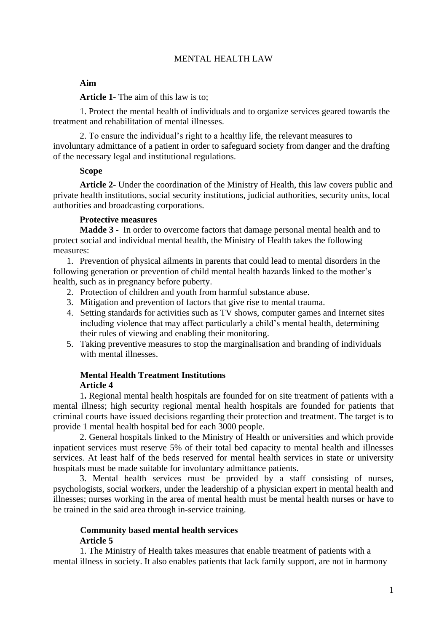#### MENTAL HEALTH LAW

#### **Aim**

**Article 1-** The aim of this law is to;

1. Protect the mental health of individuals and to organize services geared towards the treatment and rehabilitation of mental illnesses.

2. To ensure the individual's right to a healthy life, the relevant measures to involuntary admittance of a patient in order to safeguard society from danger and the drafting of the necessary legal and institutional regulations.

#### **Scope**

**Article 2**- Under the coordination of the Ministry of Health, this law covers public and private health institutions, social security institutions, judicial authorities, security units, local authorities and broadcasting corporations.

#### **Protective measures**

**Madde 3 -** In order to overcome factors that damage personal mental health and to protect social and individual mental health, the Ministry of Health takes the following measures:

1. Prevention of physical ailments in parents that could lead to mental disorders in the following generation or prevention of child mental health hazards linked to the mother's health, such as in pregnancy before puberty.

- 2. Protection of children and youth from harmful substance abuse.
- 3. Mitigation and prevention of factors that give rise to mental trauma.
- 4. Setting standards for activities such as TV shows, computer games and Internet sites including violence that may affect particularly a child's mental health, determining their rules of viewing and enabling their monitoring.
- 5. Taking preventive measures to stop the marginalisation and branding of individuals with mental illnesses.

#### **Mental Health Treatment Institutions Article 4**

1**.** Regional mental health hospitals are founded for on site treatment of patients with a mental illness; high security regional mental health hospitals are founded for patients that criminal courts have issued decisions regarding their protection and treatment. The target is to provide 1 mental health hospital bed for each 3000 people.

2. General hospitals linked to the Ministry of Health or universities and which provide inpatient services must reserve 5% of their total bed capacity to mental health and illnesses services. At least half of the beds reserved for mental health services in state or university hospitals must be made suitable for involuntary admittance patients.

3. Mental health services must be provided by a staff consisting of nurses, psychologists, social workers, under the leadership of a physician expert in mental health and illnesses; nurses working in the area of mental health must be mental health nurses or have to be trained in the said area through in-service training.

## **Community based mental health services**

## **Article 5**

1. The Ministry of Health takes measures that enable treatment of patients with a mental illness in society. It also enables patients that lack family support, are not in harmony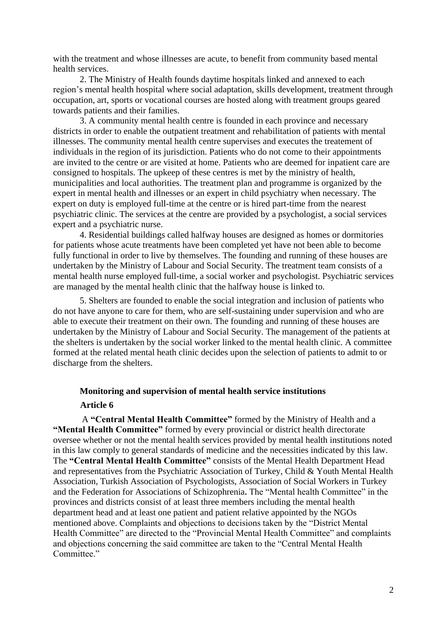with the treatment and whose illnesses are acute, to benefit from community based mental health services.

2. The Ministry of Health founds daytime hospitals linked and annexed to each region's mental health hospital where social adaptation, skills development, treatment through occupation, art, sports or vocational courses are hosted along with treatment groups geared towards patients and their families.

3. A community mental health centre is founded in each province and necessary districts in order to enable the outpatient treatment and rehabilitation of patients with mental illnesses. The community mental health centre supervises and executes the treatement of individuals in the region of its jurisdiction. Patients who do not come to their appointments are invited to the centre or are visited at home. Patients who are deemed for inpatient care are consigned to hospitals. The upkeep of these centres is met by the ministry of health, municipalities and local authorities. The treatment plan and programme is organized by the expert in mental health and illnesses or an expert in child psychiatry when necessary. The expert on duty is employed full-time at the centre or is hired part-time from the nearest psychiatric clinic. The services at the centre are provided by a psychologist, a social services expert and a psychiatric nurse.

4. Residential buildings called halfway houses are designed as homes or dormitories for patients whose acute treatments have been completed yet have not been able to become fully functional in order to live by themselves. The founding and running of these houses are undertaken by the Ministry of Labour and Social Security. The treatment team consists of a mental health nurse employed full-time, a social worker and psychologist. Psychiatric services are managed by the mental health clinic that the halfway house is linked to.

5. Shelters are founded to enable the social integration and inclusion of patients who do not have anyone to care for them, who are self-sustaining under supervision and who are able to execute their treatment on their own. The founding and running of these houses are undertaken by the Ministry of Labour and Social Security. The management of the patients at the shelters is undertaken by the social worker linked to the mental health clinic. A committee formed at the related mental heath clinic decides upon the selection of patients to admit to or discharge from the shelters.

# **Monitoring and supervision of mental health service institutions**

#### **Article 6**

A **"Central Mental Health Committee"** formed by the Ministry of Health and a **"Mental Health Committee"** formed by every provincial or district health directorate oversee whether or not the mental health services provided by mental health institutions noted in this law comply to general standards of medicine and the necessities indicated by this law. The **"Central Mental Health Committee"** consists of the Mental Health Department Head and representatives from the Psychiatric Association of Turkey, Child & Youth Mental Health Association, Turkish Association of Psychologists, Association of Social Workers in Turkey and the Federation for Associations of Schizophrenia. The "Mental health Committee" in the provinces and districts consist of at least three members including the mental health department head and at least one patient and patient relative appointed by the NGOs mentioned above. Complaints and objections to decisions taken by the "District Mental Health Committee" are directed to the "Provincial Mental Health Committee" and complaints and objections concerning the said committee are taken to the "Central Mental Health Committee."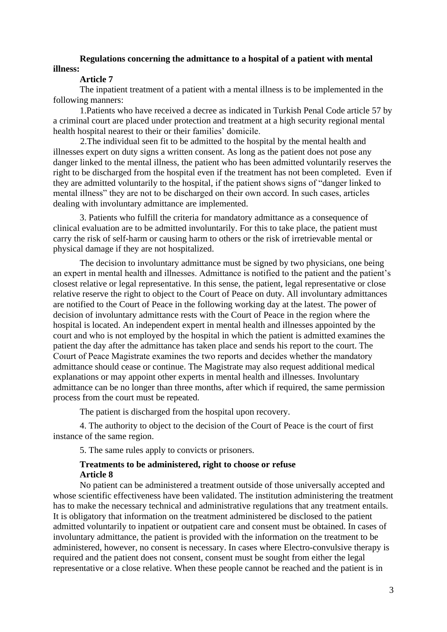## **Regulations concerning the admittance to a hospital of a patient with mental illness:**

## **Article 7**

The inpatient treatment of a patient with a mental illness is to be implemented in the following manners:

 1.Patients who have received a decree as indicated in Turkish Penal Code article 57 by a criminal court are placed under protection and treatment at a high security regional mental health hospital nearest to their or their families' domicile.

 2.The individual seen fit to be admitted to the hospital by the mental health and illnesses expert on duty signs a written consent. As long as the patient does not pose any danger linked to the mental illness, the patient who has been admitted voluntarily reserves the right to be discharged from the hospital even if the treatment has not been completed. Even if they are admitted voluntarily to the hospital, if the patient shows signs of "danger linked to mental illness" they are not to be discharged on their own accord. In such cases, articles dealing with involuntary admittance are implemented.

3. Patients who fulfill the criteria for mandatory admittance as a consequence of clinical evaluation are to be admitted involuntarily. For this to take place, the patient must carry the risk of self-harm or causing harm to others or the risk of irretrievable mental or physical damage if they are not hospitalized.

The decision to involuntary admittance must be signed by two physicians, one being an expert in mental health and illnesses. Admittance is notified to the patient and the patient's closest relative or legal representative. In this sense, the patient, legal representative or close relative reserve the right to object to the Court of Peace on duty. All involuntary admittances are notified to the Court of Peace in the following working day at the latest. The power of decision of involuntary admittance rests with the Court of Peace in the region where the hospital is located. An independent expert in mental health and illnesses appointed by the court and who is not employed by the hospital in which the patient is admitted examines the patient the day after the admittance has taken place and sends his report to the court. The Coıurt of Peace Magistrate examines the two reports and decides whether the mandatory admittance should cease or continue. The Magistrate may also request additional medical explanations or may appoint other experts in mental health and illnesses. Involuntary admittance can be no longer than three months, after which if required, the same permission process from the court must be repeated.

The patient is discharged from the hospital upon recovery.

4. The authority to object to the decision of the Court of Peace is the court of first instance of the same region.

5. The same rules apply to convicts or prisoners.

#### **Treatments to be administered, right to choose or refuse Article 8**

No patient can be administered a treatment outside of those universally accepted and whose scientific effectiveness have been validated. The institution administering the treatment has to make the necessary technical and administrative regulations that any treatment entails. It is obligatory that information on the treatment administered be disclosed to the patient admitted voluntarily to inpatient or outpatient care and consent must be obtained. In cases of involuntary admittance, the patient is provided with the information on the treatment to be administered, however, no consent is necessary. In cases where Electro-convulsive therapy is required and the patient does not consent, consent must be sought from either the legal representative or a close relative. When these people cannot be reached and the patient is in